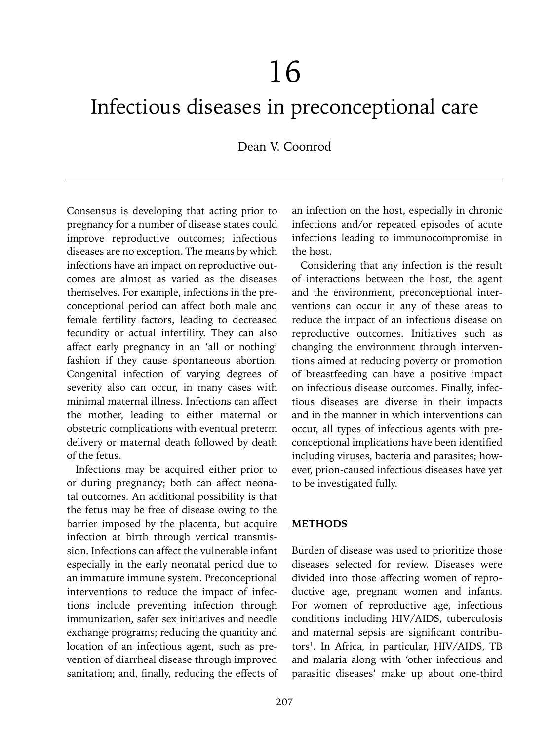# 16

# Infectious diseases in preconceptional care

Dean V. Coonrod

Consensus is developing that acting prior to pregnancy for a number of disease states could improve reproductive outcomes; infectious diseases are no exception. The means by which infections have an impact on reproductive outcomes are almost as varied as the diseases themselves. For example, infections in the preconceptional period can affect both male and female fertility factors, leading to decreased fecundity or actual infertility. They can also affect early pregnancy in an 'all or nothing' fashion if they cause spontaneous abortion. Congenital infection of varying degrees of severity also can occur, in many cases with minimal maternal illness. Infections can affect the mother, leading to either maternal or obstetric complications with eventual preterm delivery or maternal death followed by death of the fetus.

Infections may be acquired either prior to or during pregnancy; both can affect neonatal outcomes. An additional possibility is that the fetus may be free of disease owing to the barrier imposed by the placenta, but acquire infection at birth through vertical transmission. Infections can affect the vulnerable infant especially in the early neonatal period due to an immature immune system. Preconceptional interventions to reduce the impact of infections include preventing infection through immunization, safer sex initiatives and needle exchange programs; reducing the quantity and location of an infectious agent, such as prevention of diarrheal disease through improved sanitation; and, finally, reducing the effects of an infection on the host, especially in chronic infections and/or repeated episodes of acute infections leading to immunocompromise in the host.

Considering that any infection is the result of interactions between the host, the agent and the environment, preconceptional interventions can occur in any of these areas to reduce the impact of an infectious disease on reproductive outcomes. Initiatives such as changing the environment through interventions aimed at reducing poverty or promotion of breastfeeding can have a positive impact on infectious disease outcomes. Finally, infectious diseases are diverse in their impacts and in the manner in which interventions can occur, all types of infectious agents with preconceptional implications have been identified including viruses, bacteria and parasites; however, prion-caused infectious diseases have yet to be investigated fully.

#### **METHODS**

Burden of disease was used to prioritize those diseases selected for review. Diseases were divided into those affecting women of reproductive age, pregnant women and infants. For women of reproductive age, infectious conditions including HIV/AIDS, tuberculosis and maternal sepsis are significant contributors<sup>1</sup>. In Africa, in particular, HIV/AIDS, TB and malaria along with 'other infectious and parasitic diseases' make up about one-third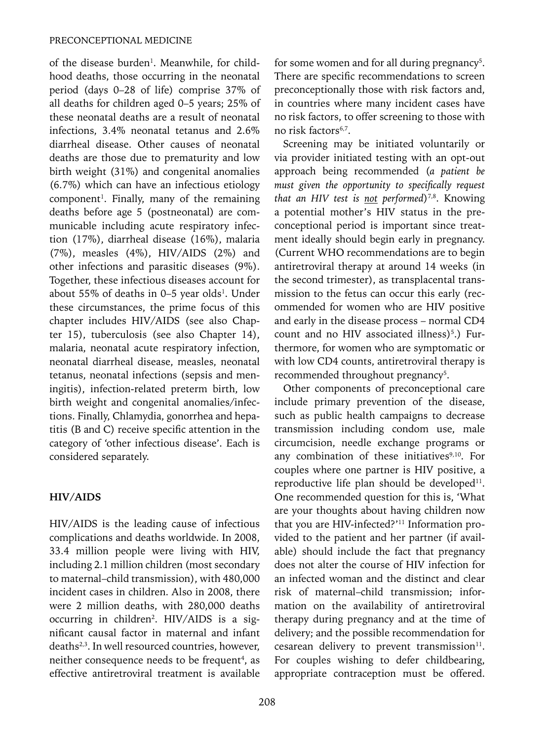of the disease burden<sup>1</sup>. Meanwhile, for childhood deaths, those occurring in the neonatal period (days 0–28 of life) comprise 37% of all deaths for children aged 0–5 years; 25% of these neonatal deaths are a result of neonatal infections, 3.4% neonatal tetanus and 2.6% diarrheal disease. Other causes of neonatal deaths are those due to prematurity and low birth weight (31%) and congenital anomalies (6.7%) which can have an infectious etiology  $component<sup>1</sup>$ . Finally, many of the remaining deaths before age 5 (postneonatal) are communicable including acute respiratory infection (17%), diarrheal disease (16%), malaria (7%), measles (4%), HIV/AIDS (2%) and other infections and parasitic diseases (9%). Together, these infectious diseases account for about 55% of deaths in  $0-5$  year olds<sup>1</sup>. Under these circumstances, the prime focus of this chapter includes HIV/AIDS (see also Chapter 15), tuberculosis (see also Chapter 14), malaria, neonatal acute respiratory infection, neonatal diarrheal disease, measles, neonatal tetanus, neonatal infections (sepsis and meningitis), infection-related preterm birth, low birth weight and congenital anomalies/infections. Finally, Chlamydia, gonorrhea and hepatitis (B and C) receive specific attention in the category of 'other infectious disease'. Each is considered separately.

# **HIV/AIDS**

HIV/AIDS is the leading cause of infectious complications and deaths worldwide. In 2008, 33.4 million people were living with HIV, including 2.1 million children (most secondary to maternal–child transmission), with 480,000 incident cases in children. Also in 2008, there were 2 million deaths, with 280,000 deaths occurring in children2 . HIV/AIDS is a significant causal factor in maternal and infant deaths2,3. In well resourced countries, however, neither consequence needs to be frequent<sup>4</sup>, as effective antiretroviral treatment is available

208

for some women and for all during pregnancy<sup>5</sup>. There are specific recommendations to screen preconceptionally those with risk factors and, in countries where many incident cases have no risk factors, to offer screening to those with no risk factors<sup>6,7</sup>.

Screening may be initiated voluntarily or via provider initiated testing with an opt-out approach being recommended (*a patient be must given the opportunity to specifically request*  that an HIV test is not performed)<sup>7,8</sup>. Knowing a potential mother's HIV status in the preconceptional period is important since treatment ideally should begin early in pregnancy. (Current WHO recommendations are to begin antiretroviral therapy at around 14 weeks (in the second trimester), as transplacental transmission to the fetus can occur this early (recommended for women who are HIV positive and early in the disease process – normal CD4 count and no HIV associated illness)<sup>5</sup>.) Furthermore, for women who are symptomatic or with low CD4 counts, antiretroviral therapy is recommended throughout pregnancy<sup>5</sup>.

Other components of preconceptional care include primary prevention of the disease, such as public health campaigns to decrease transmission including condom use, male circumcision, needle exchange programs or any combination of these initiatives $9,10$ . For couples where one partner is HIV positive, a reproductive life plan should be developed<sup>11</sup>. One recommended question for this is, 'What are your thoughts about having children now that you are HIV-infected?'11 Information provided to the patient and her partner (if available) should include the fact that pregnancy does not alter the course of HIV infection for an infected woman and the distinct and clear risk of maternal–child transmission; information on the availability of antiretroviral therapy during pregnancy and at the time of delivery; and the possible recommendation for cesarean delivery to prevent transmission $11$ . For couples wishing to defer childbearing, appropriate contraception must be offered.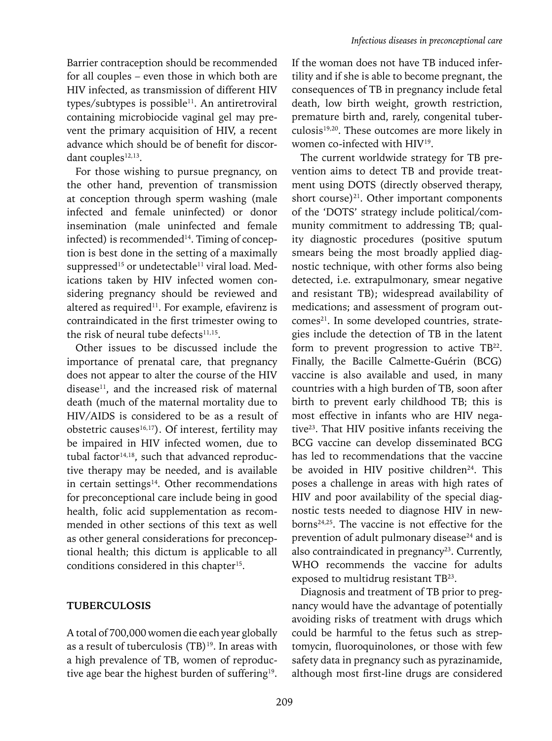Barrier contraception should be recommended for all couples – even those in which both are HIV infected, as transmission of different HIV types/subtypes is possible<sup>11</sup>. An antiretroviral containing microbiocide vaginal gel may prevent the primary acquisition of HIV, a recent advance which should be of benefit for discordant couples<sup>12,13</sup>.

For those wishing to pursue pregnancy, on the other hand, prevention of transmission at conception through sperm washing (male infected and female uninfected) or donor insemination (male uninfected and female infected) is recommended<sup>14</sup>. Timing of conception is best done in the setting of a maximally suppressed<sup>15</sup> or undetectable<sup>11</sup> viral load. Medications taken by HIV infected women considering pregnancy should be reviewed and altered as required<sup>11</sup>. For example, efavirenz is contraindicated in the first trimester owing to the risk of neural tube defects<sup>11,15</sup>.

Other issues to be discussed include the importance of prenatal care, that pregnancy does not appear to alter the course of the HIV disease<sup>11</sup>, and the increased risk of maternal death (much of the maternal mortality due to HIV/AIDS is considered to be as a result of obstetric causes<sup>16,17</sup>). Of interest, fertility may be impaired in HIV infected women, due to tubal factor $14,18$ , such that advanced reproductive therapy may be needed, and is available in certain settings $14$ . Other recommendations for preconceptional care include being in good health, folic acid supplementation as recommended in other sections of this text as well as other general considerations for preconceptional health; this dictum is applicable to all conditions considered in this chapter<sup>15</sup>.

#### **TUBERCULOSIS**

A total of 700,000 women die each year globally as a result of tuberculosis (TB)<sup>19</sup>. In areas with a high prevalence of TB, women of reproductive age bear the highest burden of suffering<sup>19</sup>.

If the woman does not have TB induced infertility and if she is able to become pregnant, the consequences of TB in pregnancy include fetal death, low birth weight, growth restriction, premature birth and, rarely, congenital tuberculosis19,20. These outcomes are more likely in women co-infected with HIV19.

The current worldwide strategy for TB prevention aims to detect TB and provide treatment using DOTS (directly observed therapy, short course)<sup>21</sup>. Other important components of the 'DOTS' strategy include political/community commitment to addressing TB; quality diagnostic procedures (positive sputum smears being the most broadly applied diagnostic technique, with other forms also being detected, i.e. extrapulmonary, smear negative and resistant TB); widespread availability of medications; and assessment of program outcomes<sup>21</sup>. In some developed countries, strategies include the detection of TB in the latent form to prevent progression to active TB<sup>22</sup>. Finally, the Bacille Calmette-Guérin (BCG) vaccine is also available and used, in many countries with a high burden of TB, soon after birth to prevent early childhood TB; this is most effective in infants who are HIV negative<sup>23</sup>. That HIV positive infants receiving the BCG vaccine can develop disseminated BCG has led to recommendations that the vaccine be avoided in HIV positive children<sup>24</sup>. This poses a challenge in areas with high rates of HIV and poor availability of the special diagnostic tests needed to diagnose HIV in newborns24,25. The vaccine is not effective for the prevention of adult pulmonary disease<sup>24</sup> and is also contraindicated in pregnancy<sup>23</sup>. Currently, WHO recommends the vaccine for adults exposed to multidrug resistant TB23.

Diagnosis and treatment of TB prior to pregnancy would have the advantage of potentially avoiding risks of treatment with drugs which could be harmful to the fetus such as streptomycin, fluoroquinolones, or those with few safety data in pregnancy such as pyrazinamide, although most first-line drugs are considered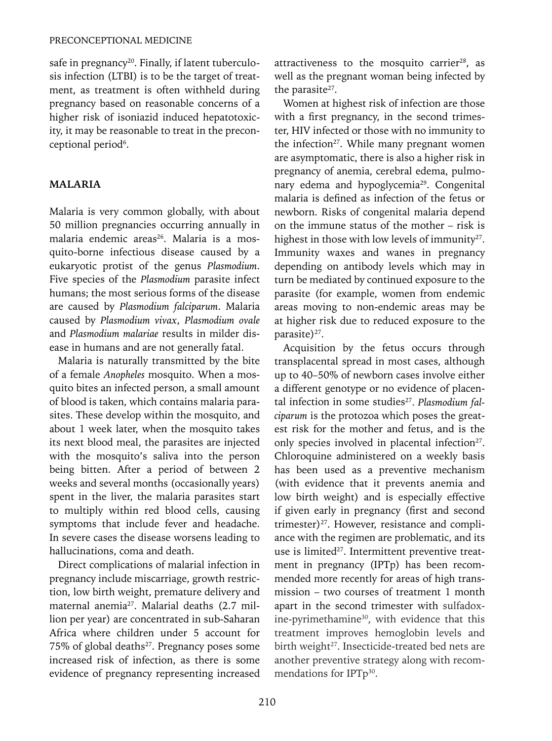safe in pregnancy<sup>20</sup>. Finally, if latent tuberculosis infection (LTBI) is to be the target of treatment, as treatment is often withheld during pregnancy based on reasonable concerns of a higher risk of isoniazid induced hepatotoxicity, it may be reasonable to treat in the preconceptional period<sup>6</sup>.

# **MALARIA**

Malaria is very common globally, with about 50 million pregnancies occurring annually in malaria endemic areas<sup>26</sup>. Malaria is a mosquito-borne infectious disease caused by a eukaryotic protist of the genus *Plasmodium*. Five species of the *Plasmodium* parasite infect humans; the most serious forms of the disease are caused by *Plasmodium falciparum*. Malaria caused by *Plasmodium vivax*, *Plasmodium ovale* and *Plasmodium malariae* results in milder disease in humans and are not generally fatal.

Malaria is naturally transmitted by the bite of a female *Anopheles* mosquito. When a mosquito bites an infected person, a small amount of blood is taken, which contains malaria parasites. These develop within the mosquito, and about 1 week later, when the mosquito takes its next blood meal, the parasites are injected with the mosquito's saliva into the person being bitten. After a period of between 2 weeks and several months (occasionally years) spent in the liver, the malaria parasites start to multiply within red blood cells, causing symptoms that include fever and headache. In severe cases the disease worsens leading to hallucinations, coma and death.

Direct complications of malarial infection in pregnancy include miscarriage, growth restriction, low birth weight, premature delivery and maternal anemia<sup>27</sup>. Malarial deaths (2.7 million per year) are concentrated in sub-Saharan Africa where children under 5 account for 75% of global deaths<sup>27</sup>. Pregnancy poses some increased risk of infection, as there is some evidence of pregnancy representing increased attractiveness to the mosquito carrier<sup>28</sup>, as well as the pregnant woman being infected by the parasite $27$ .

Women at highest risk of infection are those with a first pregnancy, in the second trimester, HIV infected or those with no immunity to the infection $27$ . While many pregnant women are asymptomatic, there is also a higher risk in pregnancy of anemia, cerebral edema, pulmonary edema and hypoglycemia29. Congenital malaria is defined as infection of the fetus or newborn. Risks of congenital malaria depend on the immune status of the mother – risk is highest in those with low levels of immunity<sup>27</sup>. Immunity waxes and wanes in pregnancy depending on antibody levels which may in turn be mediated by continued exposure to the parasite (for example, women from endemic areas moving to non-endemic areas may be at higher risk due to reduced exposure to the parasite)<sup>27</sup>.

Acquisition by the fetus occurs through transplacental spread in most cases, although up to 40–50% of newborn cases involve either a different genotype or no evidence of placental infection in some studies<sup>27</sup>. Plasmodium fal*ciparum* is the protozoa which poses the greatest risk for the mother and fetus, and is the only species involved in placental infection<sup>27</sup>. Chloroquine administered on a weekly basis has been used as a preventive mechanism (with evidence that it prevents anemia and low birth weight) and is especially effective if given early in pregnancy (first and second trimester) $27$ . However, resistance and compliance with the regimen are problematic, and its use is limited<sup>27</sup>. Intermittent preventive treatment in pregnancy (IPTp) has been recommended more recently for areas of high transmission – two courses of treatment 1 month apart in the second trimester with sulfadoxine-pyrimethamine<sup>30</sup>, with evidence that this treatment improves hemoglobin levels and birth weight<sup>27</sup>. Insecticide-treated bed nets are another preventive strategy along with recommendations for IPTp<sup>30</sup>.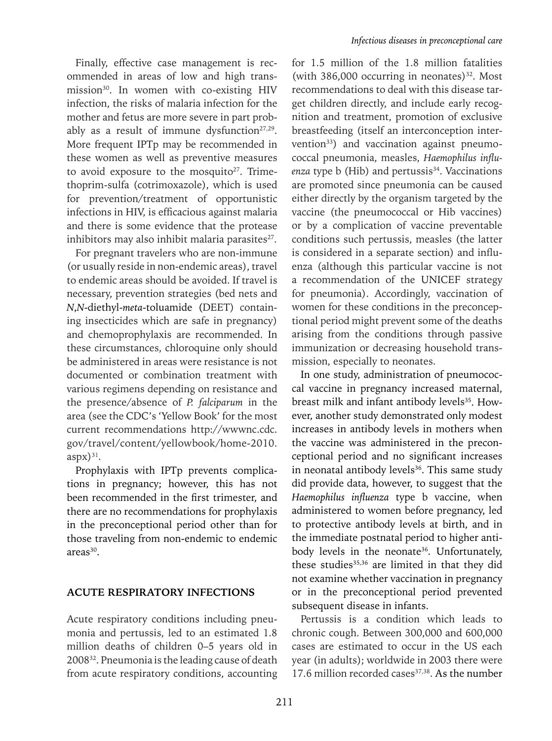Finally, effective case management is recommended in areas of low and high transmission<sup>30</sup>. In women with co-existing HIV infection, the risks of malaria infection for the mother and fetus are more severe in part probably as a result of immune dysfunction $27,29$ . More frequent IPTp may be recommended in these women as well as preventive measures to avoid exposure to the mosquito $27$ . Trimethoprim-sulfa (cotrimoxazole), which is used for prevention/treatment of opportunistic infections in HIV, is efficacious against malaria and there is some evidence that the protease inhibitors may also inhibit malaria parasites<sup>27</sup>.

For pregnant travelers who are non-immune (or usually reside in non-endemic areas), travel to endemic areas should be avoided. If travel is necessary, prevention strategies (bed nets and *N*,*N*-diethyl-*meta*-toluamide (DEET) containing insecticides which are safe in pregnancy) and chemoprophylaxis are recommended. In these circumstances, chloroquine only should be administered in areas were resistance is not documented or combination treatment with various regimens depending on resistance and the presence/absence of *P. falciparum* in the area (see the CDC's 'Yellow Book' for the most current recommendations http://wwwnc.cdc. gov/travel/content/yellowbook/home-2010.  $a$ spx $)^{31}$ .

Prophylaxis with IPTp prevents complications in pregnancy; however, this has not been recommended in the first trimester, and there are no recommendations for prophylaxis in the preconceptional period other than for those traveling from non-endemic to endemic areas<sup>30</sup>.

#### **ACUTE RESPIRATORY INFECTIONS**

Acute respiratory conditions including pneumonia and pertussis, led to an estimated 1.8 million deaths of children 0–5 years old in 200832. Pneumonia is the leading cause of death from acute respiratory conditions, accounting

for 1.5 million of the 1.8 million fatalities (with  $386,000$  occurring in neonates)<sup>32</sup>. Most recommendations to deal with this disease target children directly, and include early recognition and treatment, promotion of exclusive breastfeeding (itself an interconception intervention<sup>33</sup>) and vaccination against pneumococcal pneumonia, measles, *Haemophilus influenza* type **b** (Hib) and pertussis<sup>34</sup>. Vaccinations are promoted since pneumonia can be caused either directly by the organism targeted by the vaccine (the pneumococcal or Hib vaccines) or by a complication of vaccine preventable conditions such pertussis, measles (the latter is considered in a separate section) and influenza (although this particular vaccine is not a recommendation of the UNICEF strategy for pneumonia). Accordingly, vaccination of women for these conditions in the preconceptional period might prevent some of the deaths arising from the conditions through passive immunization or decreasing household transmission, especially to neonates.

In one study, administration of pneumococcal vaccine in pregnancy increased maternal, breast milk and infant antibody levels<sup>35</sup>. However, another study demonstrated only modest increases in antibody levels in mothers when the vaccine was administered in the preconceptional period and no significant increases in neonatal antibody levels<sup>36</sup>. This same study did provide data, however, to suggest that the *Haemophilus influenza* type b vaccine, when administered to women before pregnancy, led to protective antibody levels at birth, and in the immediate postnatal period to higher antibody levels in the neonate<sup>36</sup>. Unfortunately, these studies<sup>35,36</sup> are limited in that they did not examine whether vaccination in pregnancy or in the preconceptional period prevented subsequent disease in infants.

Pertussis is a condition which leads to chronic cough. Between 300,000 and 600,000 cases are estimated to occur in the US each year (in adults); worldwide in 2003 there were 17.6 million recorded cases<sup>37,38</sup>. As the number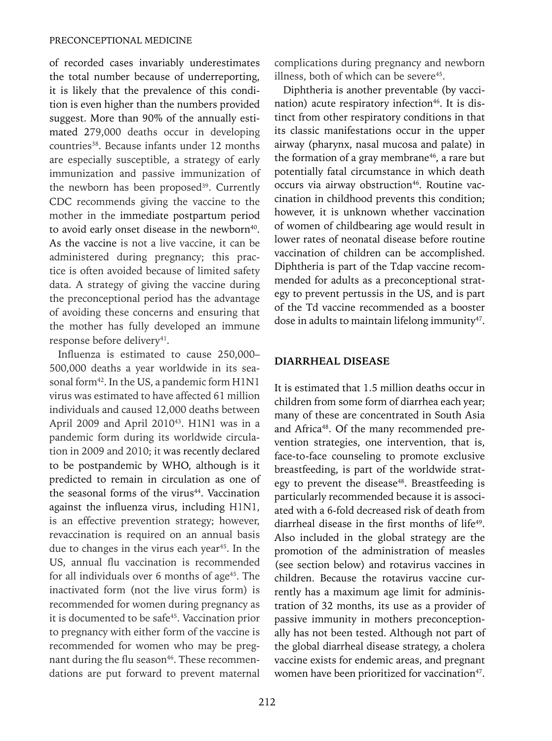of recorded cases invariably underestimates the total number because of underreporting, it is likely that the prevalence of this condition is even higher than the numbers provided suggest. More than 90% of the annually estimated 279,000 deaths occur in developing countries<sup>38</sup>. Because infants under 12 months are especially susceptible, a strategy of early immunization and passive immunization of the newborn has been proposed<sup>39</sup>. Currently CDC recommends giving the vaccine to the mother in the immediate postpartum period to avoid early onset disease in the newborn<sup>40</sup>. As the vaccine is not a live vaccine, it can be administered during pregnancy; this practice is often avoided because of limited safety data. A strategy of giving the vaccine during the preconceptional period has the advantage of avoiding these concerns and ensuring that the mother has fully developed an immune response before delivery<sup>41</sup>.

Influenza is estimated to cause 250,000– 500,000 deaths a year worldwide in its seasonal form<sup>42</sup>. In the US, a pandemic form H1N1 virus was estimated to have affected 61 million individuals and caused 12,000 deaths between April 2009 and April 2010<sup>43</sup>. H1N1 was in a pandemic form during its worldwide circulation in 2009 and 2010; it was recently declared to be postpandemic by WHO, although is it predicted to remain in circulation as one of the seasonal forms of the virus $44$ . Vaccination against the influenza virus, including H1N1, is an effective prevention strategy; however, revaccination is required on an annual basis due to changes in the virus each year<sup>45</sup>. In the US, annual flu vaccination is recommended for all individuals over  $6$  months of age<sup>45</sup>. The inactivated form (not the live virus form) is recommended for women during pregnancy as it is documented to be safe<sup>45</sup>. Vaccination prior to pregnancy with either form of the vaccine is recommended for women who may be pregnant during the flu season<sup>46</sup>. These recommendations are put forward to prevent maternal

complications during pregnancy and newborn illness, both of which can be severe $45$ .

Diphtheria is another preventable (by vaccination) acute respiratory infection<sup>46</sup>. It is distinct from other respiratory conditions in that its classic manifestations occur in the upper airway (pharynx, nasal mucosa and palate) in the formation of a gray membrane $46$ , a rare but potentially fatal circumstance in which death occurs via airway obstruction<sup>46</sup>. Routine vaccination in childhood prevents this condition; however, it is unknown whether vaccination of women of childbearing age would result in lower rates of neonatal disease before routine vaccination of children can be accomplished. Diphtheria is part of the Tdap vaccine recommended for adults as a preconceptional strategy to prevent pertussis in the US, and is part of the Td vaccine recommended as a booster dose in adults to maintain lifelong immunity<sup>47</sup>.

#### **DIARRHEAL DISEASE**

It is estimated that 1.5 million deaths occur in children from some form of diarrhea each year; many of these are concentrated in South Asia and Africa<sup>48</sup>. Of the many recommended prevention strategies, one intervention, that is, face-to-face counseling to promote exclusive breastfeeding, is part of the worldwide strategy to prevent the disease<sup>48</sup>. Breastfeeding is particularly recommended because it is associated with a 6-fold decreased risk of death from diarrheal disease in the first months of life<sup>49</sup>. Also included in the global strategy are the promotion of the administration of measles (see section below) and rotavirus vaccines in children. Because the rotavirus vaccine currently has a maximum age limit for administration of 32 months, its use as a provider of passive immunity in mothers preconceptionally has not been tested. Although not part of the global diarrheal disease strategy, a cholera vaccine exists for endemic areas, and pregnant women have been prioritized for vaccination<sup>47</sup>.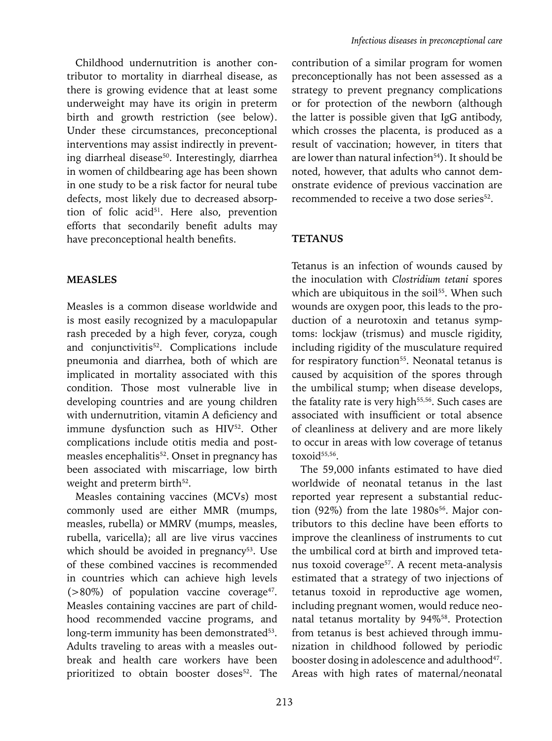Childhood undernutrition is another contributor to mortality in diarrheal disease, as there is growing evidence that at least some underweight may have its origin in preterm birth and growth restriction (see below). Under these circumstances, preconceptional interventions may assist indirectly in preventing diarrheal disease<sup>50</sup>. Interestingly, diarrhea in women of childbearing age has been shown in one study to be a risk factor for neural tube defects, most likely due to decreased absorption of folic acid<sup>51</sup>. Here also, prevention efforts that secondarily benefit adults may have preconceptional health benefits.

#### **MEASLES**

Measles is a common disease worldwide and is most easily recognized by a maculopapular rash preceded by a high fever, coryza, cough and conjunctivitis<sup>52</sup>. Complications include pneumonia and diarrhea, both of which are implicated in mortality associated with this condition. Those most vulnerable live in developing countries and are young children with undernutrition, vitamin A deficiency and immune dysfunction such as HIV<sup>52</sup>. Other complications include otitis media and postmeasles encephalitis<sup>52</sup>. Onset in pregnancy has been associated with miscarriage, low birth weight and preterm birth<sup>52</sup>.

Measles containing vaccines (MCVs) most commonly used are either MMR (mumps, measles, rubella) or MMRV (mumps, measles, rubella, varicella); all are live virus vaccines which should be avoided in pregnancy<sup>53</sup>. Use of these combined vaccines is recommended in countries which can achieve high levels  $(>80\%)$  of population vaccine coverage<sup>47</sup>. Measles containing vaccines are part of childhood recommended vaccine programs, and long-term immunity has been demonstrated<sup>53</sup>. Adults traveling to areas with a measles outbreak and health care workers have been prioritized to obtain booster doses<sup>52</sup>. The

contribution of a similar program for women preconceptionally has not been assessed as a strategy to prevent pregnancy complications or for protection of the newborn (although the latter is possible given that IgG antibody, which crosses the placenta, is produced as a result of vaccination; however, in titers that are lower than natural infection<sup>54</sup>). It should be noted, however, that adults who cannot demonstrate evidence of previous vaccination are recommended to receive a two dose series<sup>52</sup>.

#### **TETANUS**

Tetanus is an infection of wounds caused by the inoculation with *Clostridium tetani* spores which are ubiquitous in the soil<sup>55</sup>. When such wounds are oxygen poor, this leads to the production of a neurotoxin and tetanus symptoms: lockjaw (trismus) and muscle rigidity, including rigidity of the musculature required for respiratory function<sup>55</sup>. Neonatal tetanus is caused by acquisition of the spores through the umbilical stump; when disease develops, the fatality rate is very high<sup>55,56</sup>. Such cases are associated with insufficient or total absence of cleanliness at delivery and are more likely to occur in areas with low coverage of tetanus toxoid<sup>55,56</sup>.

The 59,000 infants estimated to have died worldwide of neonatal tetanus in the last reported year represent a substantial reduction (92%) from the late  $1980s^{56}$ . Major contributors to this decline have been efforts to improve the cleanliness of instruments to cut the umbilical cord at birth and improved tetanus toxoid coverage<sup>57</sup>. A recent meta-analysis estimated that a strategy of two injections of tetanus toxoid in reproductive age women, including pregnant women, would reduce neonatal tetanus mortality by 94%58. Protection from tetanus is best achieved through immunization in childhood followed by periodic booster dosing in adolescence and adulthood<sup>47</sup>. Areas with high rates of maternal/neonatal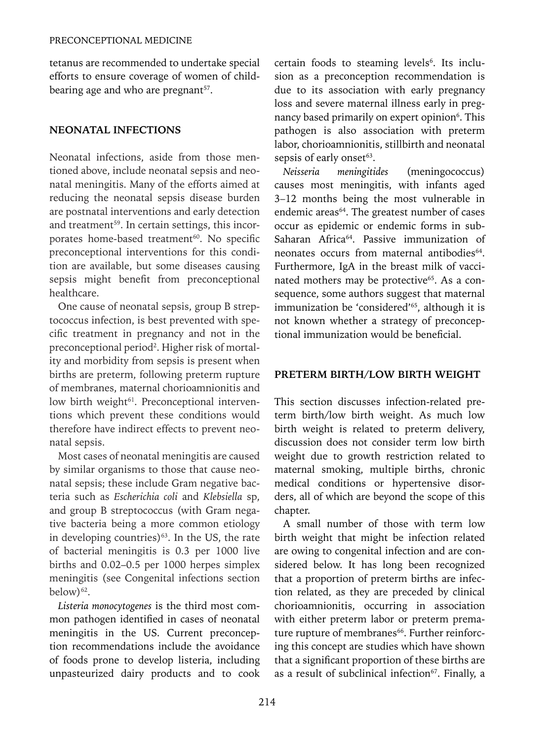tetanus are recommended to undertake special efforts to ensure coverage of women of childbearing age and who are pregnant<sup>57</sup>.

# **NEONATAL INFECTIONS**

Neonatal infections, aside from those mentioned above, include neonatal sepsis and neonatal meningitis. Many of the efforts aimed at reducing the neonatal sepsis disease burden are postnatal interventions and early detection and treatment<sup>59</sup>. In certain settings, this incorporates home-based treatment<sup>60</sup>. No specific preconceptional interventions for this condition are available, but some diseases causing sepsis might benefit from preconceptional healthcare.

One cause of neonatal sepsis, group B streptococcus infection, is best prevented with specific treatment in pregnancy and not in the preconceptional period<sup>2</sup>. Higher risk of mortality and morbidity from sepsis is present when births are preterm, following preterm rupture of membranes, maternal chorioamnionitis and low birth weight<sup>61</sup>. Preconceptional interventions which prevent these conditions would therefore have indirect effects to prevent neonatal sepsis.

Most cases of neonatal meningitis are caused by similar organisms to those that cause neonatal sepsis; these include Gram negative bacteria such as *Escherichia coli* and *Klebsiella* sp, and group B streptococcus (with Gram negative bacteria being a more common etiology in developing countries) $63$ . In the US, the rate of bacterial meningitis is 0.3 per 1000 live births and 0.02–0.5 per 1000 herpes simplex meningitis (see Congenital infections section below)<sup>62</sup>.

*Listeria monocytogenes* is the third most common pathogen identified in cases of neonatal meningitis in the US. Current preconception recommendations include the avoidance of foods prone to develop listeria, including unpasteurized dairy products and to cook

certain foods to steaming levels<sup>6</sup>. Its inclusion as a preconception recommendation is due to its association with early pregnancy loss and severe maternal illness early in pregnancy based primarily on expert opinion<sup>6</sup>. This pathogen is also association with preterm labor, chorioamnionitis, stillbirth and neonatal sepsis of early onset<sup>63</sup>.

*Neisseria meningitides* (meningococcus) causes most meningitis, with infants aged 3–12 months being the most vulnerable in endemic areas<sup>64</sup>. The greatest number of cases occur as epidemic or endemic forms in sub-Saharan Africa<sup>64</sup>. Passive immunization of neonates occurs from maternal antibodies<sup>64</sup>. Furthermore, IgA in the breast milk of vaccinated mothers may be protective<sup>65</sup>. As a consequence, some authors suggest that maternal immunization be 'considered'<sup>65</sup>, although it is not known whether a strategy of preconceptional immunization would be beneficial.

### **PRETERM BIRTH/LOW BIRTH WEIGHT**

This section discusses infection-related preterm birth/low birth weight. As much low birth weight is related to preterm delivery, discussion does not consider term low birth weight due to growth restriction related to maternal smoking, multiple births, chronic medical conditions or hypertensive disorders, all of which are beyond the scope of this chapter.

A small number of those with term low birth weight that might be infection related are owing to congenital infection and are considered below. It has long been recognized that a proportion of preterm births are infection related, as they are preceded by clinical chorioamnionitis, occurring in association with either preterm labor or preterm premature rupture of membranes<sup>66</sup>. Further reinforcing this concept are studies which have shown that a significant proportion of these births are as a result of subclinical infection $67$ . Finally, a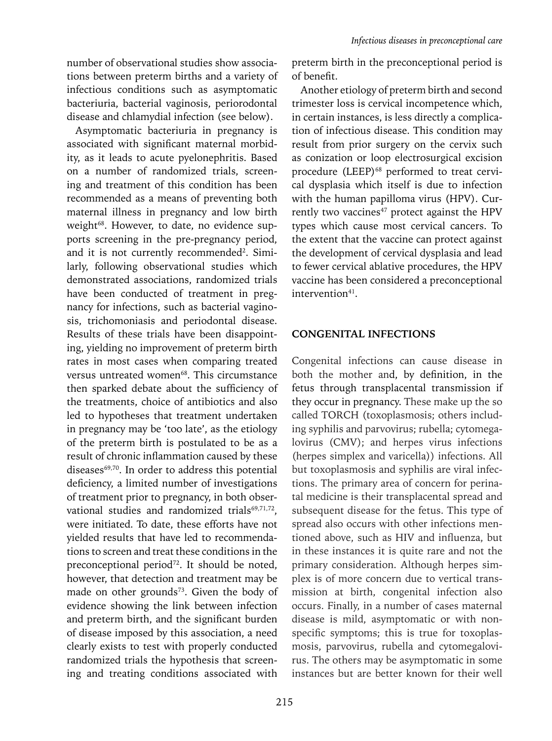number of observational studies show associations between preterm births and a variety of infectious conditions such as asymptomatic bacteriuria, bacterial vaginosis, periorodontal disease and chlamydial infection (see below).

Asymptomatic bacteriuria in pregnancy is associated with significant maternal morbidity, as it leads to acute pyelonephritis. Based on a number of randomized trials, screening and treatment of this condition has been recommended as a means of preventing both maternal illness in pregnancy and low birth weight<sup>68</sup>. However, to date, no evidence supports screening in the pre-pregnancy period, and it is not currently recommended<sup>2</sup>. Similarly, following observational studies which demonstrated associations, randomized trials have been conducted of treatment in pregnancy for infections, such as bacterial vaginosis, trichomoniasis and periodontal disease. Results of these trials have been disappointing, yielding no improvement of preterm birth rates in most cases when comparing treated versus untreated women<sup>68</sup>. This circumstance then sparked debate about the sufficiency of the treatments, choice of antibiotics and also led to hypotheses that treatment undertaken in pregnancy may be 'too late', as the etiology of the preterm birth is postulated to be as a result of chronic inflammation caused by these diseases<sup>69,70</sup>. In order to address this potential deficiency, a limited number of investigations of treatment prior to pregnancy, in both observational studies and randomized trials<sup>69,71,72</sup>. were initiated. To date, these efforts have not yielded results that have led to recommendations to screen and treat these conditions in the preconceptional period<sup>72</sup>. It should be noted, however, that detection and treatment may be made on other grounds<sup>73</sup>. Given the body of evidence showing the link between infection and preterm birth, and the significant burden of disease imposed by this association, a need clearly exists to test with properly conducted randomized trials the hypothesis that screening and treating conditions associated with

preterm birth in the preconceptional period is of benefit.

Another etiology of preterm birth and second trimester loss is cervical incompetence which, in certain instances, is less directly a complication of infectious disease. This condition may result from prior surgery on the cervix such as conization or loop electrosurgical excision procedure (LEEP)<sup>68</sup> performed to treat cervical dysplasia which itself is due to infection with the human papilloma virus (HPV). Currently two vaccines<sup>47</sup> protect against the HPV types which cause most cervical cancers. To the extent that the vaccine can protect against the development of cervical dysplasia and lead to fewer cervical ablative procedures, the HPV vaccine has been considered a preconceptional intervention<sup>41</sup>.

# **CONGENITAL INFECTIONS**

Congenital infections can cause disease in both the mother and, by definition, in the fetus through transplacental transmission if they occur in pregnancy. These make up the so called TORCH (toxoplasmosis; others including syphilis and parvovirus; rubella; cytomegalovirus (CMV); and herpes virus infections (herpes simplex and varicella)) infections. All but toxoplasmosis and syphilis are viral infections. The primary area of concern for perinatal medicine is their transplacental spread and subsequent disease for the fetus. This type of spread also occurs with other infections mentioned above, such as HIV and influenza, but in these instances it is quite rare and not the primary consideration. Although herpes simplex is of more concern due to vertical transmission at birth, congenital infection also occurs. Finally, in a number of cases maternal disease is mild, asymptomatic or with nonspecific symptoms; this is true for toxoplasmosis, parvovirus, rubella and cytomegalovirus. The others may be asymptomatic in some instances but are better known for their well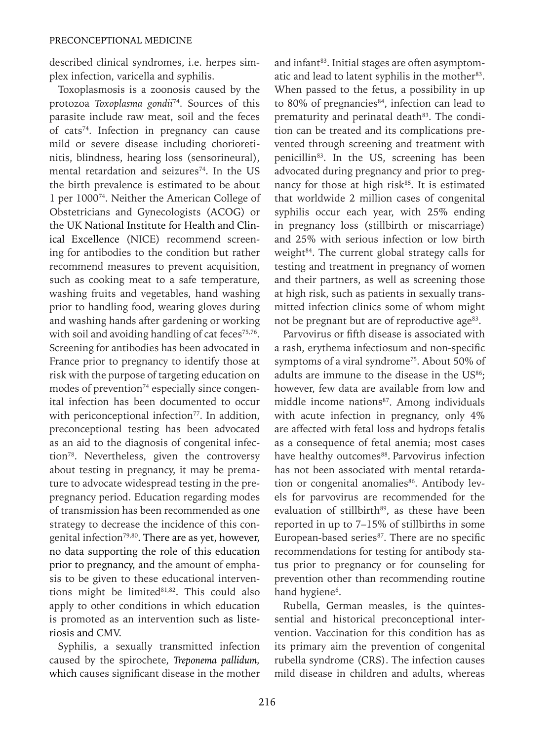described clinical syndromes, i.e. herpes simplex infection, varicella and syphilis.

Toxoplasmosis is a zoonosis caused by the protozoa *Toxoplasma gondii*74. Sources of this parasite include raw meat, soil and the feces of cats74. Infection in pregnancy can cause mild or severe disease including chorioretinitis, blindness, hearing loss (sensorineural), mental retardation and seizures<sup>74</sup>. In the US the birth prevalence is estimated to be about 1 per 100074. Neither the American College of Obstetricians and Gynecologists (ACOG) or the UK National Institute for Health and Clinical Excellence (NICE) recommend screening for antibodies to the condition but rather recommend measures to prevent acquisition, such as cooking meat to a safe temperature, washing fruits and vegetables, hand washing prior to handling food, wearing gloves during and washing hands after gardening or working with soil and avoiding handling of cat feces $75,76$ . Screening for antibodies has been advocated in France prior to pregnancy to identify those at risk with the purpose of targeting education on modes of prevention<sup>74</sup> especially since congenital infection has been documented to occur with periconceptional infection<sup>77</sup>. In addition, preconceptional testing has been advocated as an aid to the diagnosis of congenital infection78. Nevertheless, given the controversy about testing in pregnancy, it may be premature to advocate widespread testing in the prepregnancy period. Education regarding modes of transmission has been recommended as one strategy to decrease the incidence of this congenital infection<sup>79,80</sup>. There are as yet, however, no data supporting the role of this education prior to pregnancy, and the amount of emphasis to be given to these educational interventions might be limited<sup>81,82</sup>. This could also apply to other conditions in which education is promoted as an intervention such as listeriosis and CMV.

Syphilis, a sexually transmitted infection caused by the spirochete, *Treponema pallidum,*  which causes significant disease in the mother and infant<sup>83</sup>. Initial stages are often asymptomatic and lead to latent syphilis in the mother<sup>83</sup>. When passed to the fetus, a possibility in up to 80% of pregnancies<sup>84</sup>, infection can lead to prematurity and perinatal death<sup>83</sup>. The condition can be treated and its complications prevented through screening and treatment with penicillin<sup>83</sup>. In the US, screening has been advocated during pregnancy and prior to pregnancy for those at high risk $85$ . It is estimated that worldwide 2 million cases of congenital syphilis occur each year, with 25% ending in pregnancy loss (stillbirth or miscarriage) and 25% with serious infection or low birth weight<sup>84</sup>. The current global strategy calls for testing and treatment in pregnancy of women and their partners, as well as screening those at high risk, such as patients in sexually transmitted infection clinics some of whom might not be pregnant but are of reproductive age<sup>83</sup>.

Parvovirus or fifth disease is associated with a rash, erythema infectiosum and non-specific symptoms of a viral syndrome<sup>75</sup>. About 50% of adults are immune to the disease in the  $US<sup>86</sup>$ ; however, few data are available from low and middle income nations<sup>87</sup>. Among individuals with acute infection in pregnancy, only 4% are affected with fetal loss and hydrops fetalis as a consequence of fetal anemia; most cases have healthy outcomes<sup>88</sup>. Parvovirus infection has not been associated with mental retardation or congenital anomalies<sup>86</sup>. Antibody levels for parvovirus are recommended for the evaluation of stillbirth<sup>89</sup>, as these have been reported in up to 7–15% of stillbirths in some European-based series<sup>87</sup>. There are no specific recommendations for testing for antibody status prior to pregnancy or for counseling for prevention other than recommending routine hand hygiene<sup>6</sup>.

Rubella, German measles, is the quintessential and historical preconceptional intervention. Vaccination for this condition has as its primary aim the prevention of congenital rubella syndrome (CRS). The infection causes mild disease in children and adults, whereas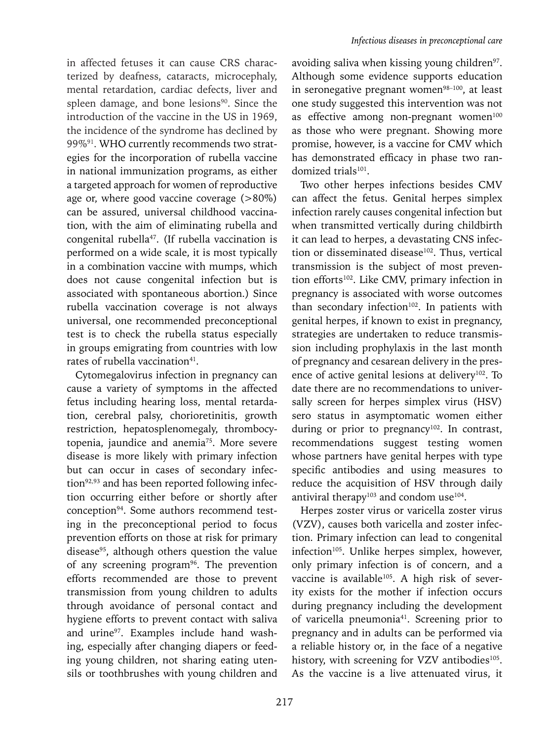in affected fetuses it can cause CRS characterized by deafness, cataracts, microcephaly, mental retardation, cardiac defects, liver and spleen damage, and bone lesions<sup>90</sup>. Since the introduction of the vaccine in the US in 1969, the incidence of the syndrome has declined by 99%91. WHO currently recommends two strategies for the incorporation of rubella vaccine in national immunization programs, as either a targeted approach for women of reproductive age or, where good vaccine coverage (>80%) can be assured, universal childhood vaccination, with the aim of eliminating rubella and congenital rubella<sup>47</sup>. (If rubella vaccination is performed on a wide scale, it is most typically in a combination vaccine with mumps, which does not cause congenital infection but is associated with spontaneous abortion.) Since rubella vaccination coverage is not always universal, one recommended preconceptional test is to check the rubella status especially in groups emigrating from countries with low rates of rubella vaccination<sup>41</sup>.

Cytomegalovirus infection in pregnancy can cause a variety of symptoms in the affected fetus including hearing loss, mental retardation, cerebral palsy, chorioretinitis, growth restriction, hepatosplenomegaly, thrombocytopenia, jaundice and anemia<sup>75</sup>. More severe disease is more likely with primary infection but can occur in cases of secondary infection<sup>92,93</sup> and has been reported following infection occurring either before or shortly after conception94. Some authors recommend testing in the preconceptional period to focus prevention efforts on those at risk for primary disease<sup>95</sup>, although others question the value of any screening program<sup>96</sup>. The prevention efforts recommended are those to prevent transmission from young children to adults through avoidance of personal contact and hygiene efforts to prevent contact with saliva and urine<sup>97</sup>. Examples include hand washing, especially after changing diapers or feeding young children, not sharing eating utensils or toothbrushes with young children and

avoiding saliva when kissing young children<sup>97</sup>. Although some evidence supports education in seronegative pregnant women $98-100$ , at least one study suggested this intervention was not as effective among non-pregnant women $100$ as those who were pregnant. Showing more promise, however, is a vaccine for CMV which has demonstrated efficacy in phase two randomized trials<sup>101</sup>.

Two other herpes infections besides CMV can affect the fetus. Genital herpes simplex infection rarely causes congenital infection but when transmitted vertically during childbirth it can lead to herpes, a devastating CNS infection or disseminated disease<sup>102</sup>. Thus, vertical transmission is the subject of most prevention efforts<sup>102</sup>. Like CMV, primary infection in pregnancy is associated with worse outcomes than secondary infection<sup>102</sup>. In patients with genital herpes, if known to exist in pregnancy, strategies are undertaken to reduce transmission including prophylaxis in the last month of pregnancy and cesarean delivery in the presence of active genital lesions at delivery<sup>102</sup>. To date there are no recommendations to universally screen for herpes simplex virus (HSV) sero status in asymptomatic women either during or prior to pregnancy<sup>102</sup>. In contrast, recommendations suggest testing women whose partners have genital herpes with type specific antibodies and using measures to reduce the acquisition of HSV through daily antiviral therapy<sup>103</sup> and condom use<sup>104</sup>.

Herpes zoster virus or varicella zoster virus (VZV), causes both varicella and zoster infection. Primary infection can lead to congenital infection<sup>105</sup>. Unlike herpes simplex, however, only primary infection is of concern, and a vaccine is available<sup>105</sup>. A high risk of severity exists for the mother if infection occurs during pregnancy including the development of varicella pneumonia<sup>41</sup>. Screening prior to pregnancy and in adults can be performed via a reliable history or, in the face of a negative history, with screening for VZV antibodies<sup>105</sup>. As the vaccine is a live attenuated virus, it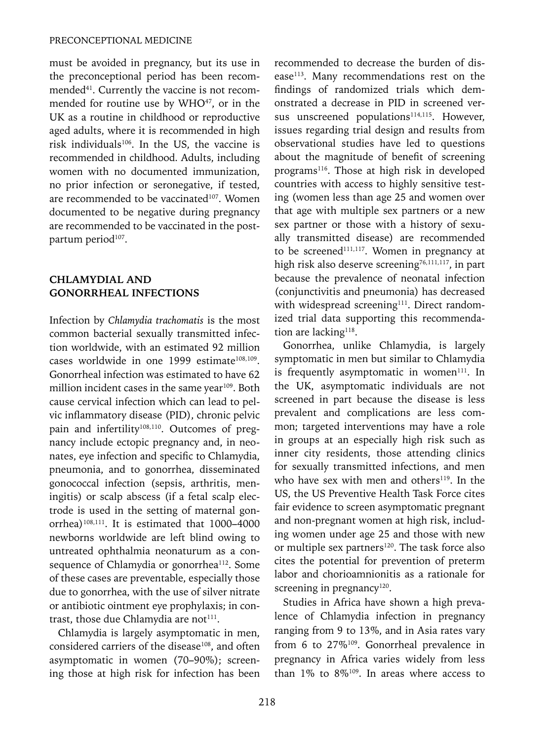must be avoided in pregnancy, but its use in the preconceptional period has been recommended<sup>41</sup>. Currently the vaccine is not recommended for routine use by WHO<sup>47</sup>, or in the UK as a routine in childhood or reproductive aged adults, where it is recommended in high risk individuals106. In the US, the vaccine is recommended in childhood. Adults, including women with no documented immunization, no prior infection or seronegative, if tested, are recommended to be vaccinated<sup>107</sup>. Women documented to be negative during pregnancy are recommended to be vaccinated in the postpartum period<sup>107</sup>.

# **CHLAMYDIAL AND GONORRHEAL INFECTIONS**

Infection by *Chlamydia trachomatis* is the most common bacterial sexually transmitted infection worldwide, with an estimated 92 million cases worldwide in one 1999 estimate<sup>108,109</sup>. Gonorrheal infection was estimated to have 62 million incident cases in the same year<sup>109</sup>. Both cause cervical infection which can lead to pelvic inflammatory disease (PID), chronic pelvic pain and infertility<sup>108,110</sup>. Outcomes of pregnancy include ectopic pregnancy and, in neonates, eye infection and specific to Chlamydia, pneumonia, and to gonorrhea, disseminated gonococcal infection (sepsis, arthritis, meningitis) or scalp abscess (if a fetal scalp electrode is used in the setting of maternal gonorrhea)108,111. It is estimated that 1000**–**4000 newborns worldwide are left blind owing to untreated ophthalmia neonaturum as a consequence of Chlamydia or gonorrhea<sup>112</sup>. Some of these cases are preventable, especially those due to gonorrhea, with the use of silver nitrate or antibiotic ointment eye prophylaxis; in contrast, those due Chlamydia are not $111$ .

Chlamydia is largely asymptomatic in men, considered carriers of the disease<sup>108</sup>, and often asymptomatic in women (70**–**90%); screening those at high risk for infection has been recommended to decrease the burden of disease<sup>113</sup>. Many recommendations rest on the findings of randomized trials which demonstrated a decrease in PID in screened versus unscreened populations<sup>114,115</sup>. However, issues regarding trial design and results from observational studies have led to questions about the magnitude of benefit of screening programs<sup>116</sup>. Those at high risk in developed countries with access to highly sensitive testing (women less than age 25 and women over that age with multiple sex partners or a new sex partner or those with a history of sexually transmitted disease) are recommended to be screened<sup>111,117</sup>. Women in pregnancy at high risk also deserve screening<sup>76,111,117</sup>, in part because the prevalence of neonatal infection (conjunctivitis and pneumonia) has decreased with widespread screening<sup>111</sup>. Direct randomized trial data supporting this recommendation are lacking<sup>118</sup>.

Gonorrhea, unlike Chlamydia, is largely symptomatic in men but similar to Chlamydia is frequently asymptomatic in women $111$ . In the UK, asymptomatic individuals are not screened in part because the disease is less prevalent and complications are less common; targeted interventions may have a role in groups at an especially high risk such as inner city residents, those attending clinics for sexually transmitted infections, and men who have sex with men and others<sup>119</sup>. In the US, the US Preventive Health Task Force cites fair evidence to screen asymptomatic pregnant and non-pregnant women at high risk, including women under age 25 and those with new or multiple sex partners<sup>120</sup>. The task force also cites the potential for prevention of preterm labor and chorioamnionitis as a rationale for screening in pregnancy $120$ .

Studies in Africa have shown a high prevalence of Chlamydia infection in pregnancy ranging from 9 to 13%, and in Asia rates vary from 6 to 27%<sup>109</sup>. Gonorrheal prevalence in pregnancy in Africa varies widely from less than  $1\%$  to  $8\%$ <sup>109</sup>. In areas where access to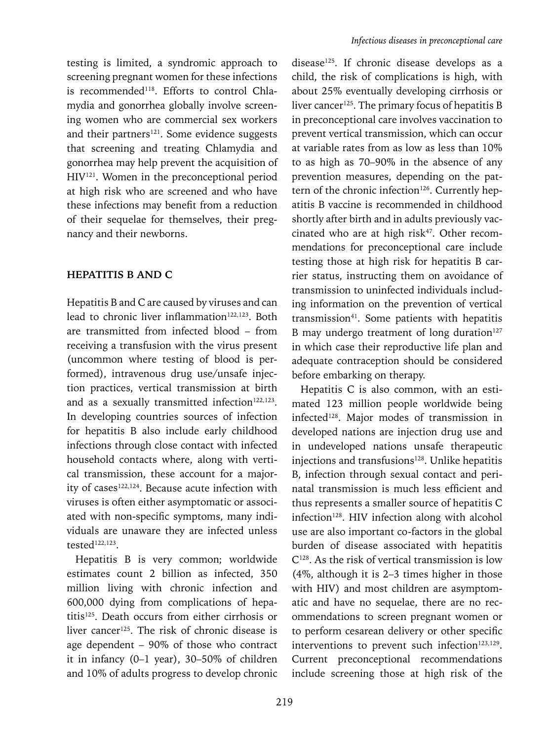testing is limited, a syndromic approach to screening pregnant women for these infections is recommended<sup>118</sup>. Efforts to control Chlamydia and gonorrhea globally involve screening women who are commercial sex workers and their partners<sup>121</sup>. Some evidence suggests that screening and treating Chlamydia and gonorrhea may help prevent the acquisition of HIV121. Women in the preconceptional period at high risk who are screened and who have these infections may benefit from a reduction of their sequelae for themselves, their pregnancy and their newborns.

#### **HEPATITIS B AND C**

Hepatitis B and C are caused by viruses and can lead to chronic liver inflammation<sup>122,123</sup>. Both are transmitted from infected blood – from receiving a transfusion with the virus present (uncommon where testing of blood is performed), intravenous drug use/unsafe injection practices, vertical transmission at birth and as a sexually transmitted infection<sup>122,123</sup>. In developing countries sources of infection for hepatitis B also include early childhood infections through close contact with infected household contacts where, along with vertical transmission, these account for a majority of cases<sup>122,124</sup>. Because acute infection with viruses is often either asymptomatic or associated with non-specific symptoms, many individuals are unaware they are infected unless tested122,123.

Hepatitis B is very common; worldwide estimates count 2 billion as infected, 350 million living with chronic infection and 600,000 dying from complications of hepatitis125. Death occurs from either cirrhosis or liver cancer<sup>125</sup>. The risk of chronic disease is age dependent – 90% of those who contract it in infancy (0–1 year), 30–50% of children and 10% of adults progress to develop chronic disease<sup>125</sup>. If chronic disease develops as a child, the risk of complications is high, with about 25% eventually developing cirrhosis or liver cancer<sup>125</sup>. The primary focus of hepatitis B in preconceptional care involves vaccination to prevent vertical transmission, which can occur at variable rates from as low as less than 10% to as high as 70–90% in the absence of any prevention measures, depending on the pattern of the chronic infection<sup>126</sup>. Currently hepatitis B vaccine is recommended in childhood shortly after birth and in adults previously vaccinated who are at high risk<sup>47</sup>. Other recommendations for preconceptional care include testing those at high risk for hepatitis B carrier status, instructing them on avoidance of transmission to uninfected individuals including information on the prevention of vertical transmission<sup>41</sup>. Some patients with hepatitis B may undergo treatment of long duration $127$ in which case their reproductive life plan and adequate contraception should be considered before embarking on therapy.

Hepatitis C is also common, with an estimated 123 million people worldwide being infected<sup>128</sup>. Major modes of transmission in developed nations are injection drug use and in undeveloped nations unsafe therapeutic injections and transfusions<sup>128</sup>. Unlike hepatitis B, infection through sexual contact and perinatal transmission is much less efficient and thus represents a smaller source of hepatitis C infection<sup>128</sup>. HIV infection along with alcohol use are also important co-factors in the global burden of disease associated with hepatitis  $C^{128}$ . As the risk of vertical transmission is low (4%, although it is 2–3 times higher in those with HIV) and most children are asymptomatic and have no sequelae, there are no recommendations to screen pregnant women or to perform cesarean delivery or other specific interventions to prevent such infection $123,129$ . Current preconceptional recommendations include screening those at high risk of the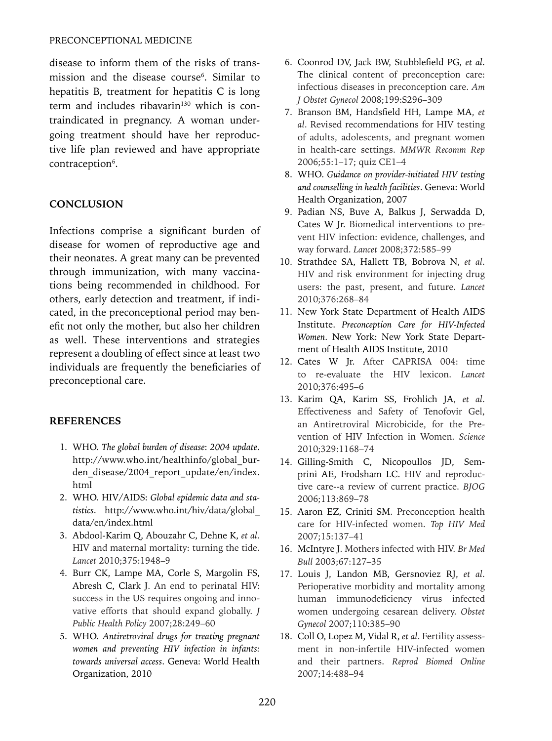disease to inform them of the risks of transmission and the disease course<sup>6</sup>. Similar to hepatitis B, treatment for hepatitis C is long term and includes ribavarin<sup>130</sup> which is contraindicated in pregnancy. A woman undergoing treatment should have her reproductive life plan reviewed and have appropriate contraception<sup>6</sup>.

# **CONCLUSION**

Infections comprise a significant burden of disease for women of reproductive age and their neonates. A great many can be prevented through immunization, with many vaccinations being recommended in childhood. For others, early detection and treatment, if indicated, in the preconceptional period may benefit not only the mother, but also her children as well. These interventions and strategies represent a doubling of effect since at least two individuals are frequently the beneficiaries of preconceptional care.

#### **References**

- 1. WHO. *The global burden of disease*: *2004 update*. http://www.who.int/healthinfo/global\_burden disease/2004 report update/en/index. html
- 2. WHO. HIV/AIDS: *Global epidemic data and statistics*. http://www.who.int/hiv/data/global\_ data/en/index.html
- 3. Abdool-Karim Q, Abouzahr C, Dehne K, *et al*. HIV and maternal mortality: turning the tide. *Lancet* 2010;375:1948–9
- 4. Burr CK, Lampe MA, Corle S, Margolin FS, Abresh C, Clark J. An end to perinatal HIV: success in the US requires ongoing and innovative efforts that should expand globally. *J Public Health Policy* 2007;28:249–60
- 5. WHO. *Antiretroviral drugs for treating pregnant women and preventing HIV infection in infants: towards universal access*. Geneva: World Health Organization, 2010
- 6. Coonrod DV, Jack BW, Stubblefield PG, *et al*. The clinical content of preconception care: infectious diseases in preconception care. *Am J Obstet Gynecol* 2008;199:S296–309
- 7. Branson BM, Handsfield HH, Lampe MA, *et al*. Revised recommendations for HIV testing of adults, adolescents, and pregnant women in health-care settings. *MMWR Recomm Rep* 2006;55:1–17; quiz CE1–4
- 8. WHO. *Guidance on provider-initiated HIV testing and counselling in health facilities*. Geneva: World Health Organization, 2007
- 9. Padian NS, Buve A, Balkus J, Serwadda D, Cates W Jr. Biomedical interventions to prevent HIV infection: evidence, challenges, and way forward. *Lancet* 2008;372:585–99
- 10. Strathdee SA, Hallett TB, Bobrova N, *et al*. HIV and risk environment for injecting drug users: the past, present, and future. *Lancet* 2010;376:268–84
- 11. New York State Department of Health AIDS Institute. *Preconception Care for HIV-Infected Women*. New York: New York State Department of Health AIDS Institute, 2010
- 12. Cates W Jr. After CAPRISA 004: time to re-evaluate the HIV lexicon. *Lancet* 2010;376:495–6
- 13. Karim QA, Karim SS, Frohlich JA, *et al*. Effectiveness and Safety of Tenofovir Gel, an Antiretroviral Microbicide, for the Prevention of HIV Infection in Women. *Science* 2010;329:1168–74
- 14. Gilling-Smith C, Nicopoullos JD, Semprini AE, Frodsham LC. HIV and reproductive care--a review of current practice. *BJOG* 2006;113:869–78
- 15. Aaron EZ, Criniti SM. Preconception health care for HIV-infected women. *Top HIV Med* 2007;15:137–41
- 16. McIntyre J. Mothers infected with HIV. *Br Med Bull* 2003;67:127–35
- 17. Louis J, Landon MB, Gersnoviez RJ, *et al*. Perioperative morbidity and mortality among human immunodeficiency virus infected women undergoing cesarean delivery. *Obstet Gynecol* 2007;110:385–90
- 18. Coll O, Lopez M, Vidal R, *et al*. Fertility assessment in non-infertile HIV-infected women and their partners. *Reprod Biomed Online* 2007;14:488–94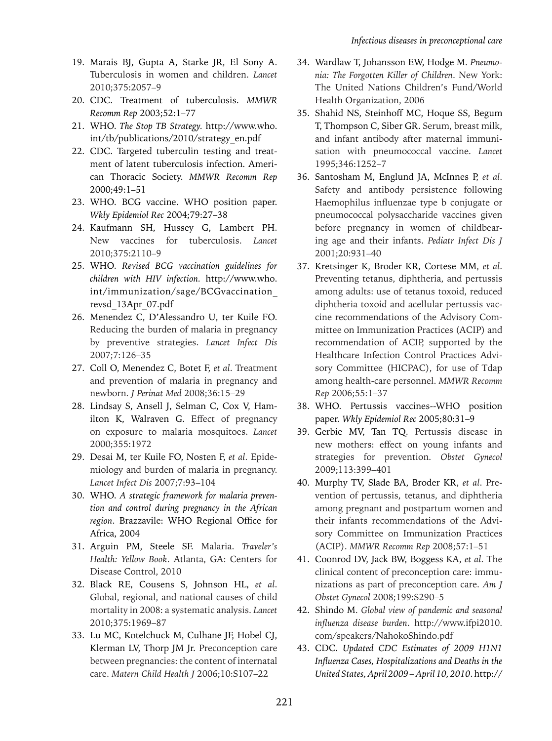- 19. Marais BJ, Gupta A, Starke JR, El Sony A. Tuberculosis in women and children. *Lancet* 2010;375:2057–9
- 20. CDC. Treatment of tuberculosis. *MMWR Recomm Rep* 2003;52:1–77
- 21. WHO. *The Stop TB Strategy.* http://www.who. int/tb/publications/2010/strategy\_en.pdf
- 22. CDC. Targeted tuberculin testing and treatment of latent tuberculosis infection. American Thoracic Society. *MMWR Recomm Rep* 2000;49:1–51
- 23. WHO. BCG vaccine. WHO position paper. *Wkly Epidemiol Rec* 2004;79:27–38
- 24. Kaufmann SH, Hussey G, Lambert PH. New vaccines for tuberculosis. *Lancet* 2010;375:2110–9
- 25. WHO. *Revised BCG vaccination guidelines for children with HIV infection.* http://www.who. int/immunization/sage/BCGvaccination\_ revsd\_13Apr\_07.pdf
- 26. Menendez C, D'Alessandro U, ter Kuile FO. Reducing the burden of malaria in pregnancy by preventive strategies. *Lancet Infect Dis* 2007;7:126–35
- 27. Coll O, Menendez C, Botet F, *et al*. Treatment and prevention of malaria in pregnancy and newborn. *J Perinat Med* 2008;36:15–29
- 28. Lindsay S, Ansell J, Selman C, Cox V, Hamilton K, Walraven G. Effect of pregnancy on exposure to malaria mosquitoes. *Lancet* 2000;355:1972
- 29. Desai M, ter Kuile FO, Nosten F, *et al*. Epidemiology and burden of malaria in pregnancy. *Lancet Infect Dis* 2007;7:93–104
- 30. WHO. *A strategic framework for malaria prevention and control during pregnancy in the African region*. Brazzavile: WHO Regional Office for Africa, 2004
- 31. Arguin PM, Steele SF. Malaria. *Traveler's Health: Yellow Book*. Atlanta, GA: Centers for Disease Control, 2010
- 32. Black RE, Cousens S, Johnson HL, *et al*. Global, regional, and national causes of child mortality in 2008: a systematic analysis. *Lancet* 2010;375:1969–87
- 33. Lu MC, Kotelchuck M, Culhane JF, Hobel CJ, Klerman LV, Thorp JM Jr. Preconception care between pregnancies: the content of internatal care. *Matern Child Health J* 2006;10:S107–22
- 34. Wardlaw T, Johansson EW, Hodge M. *Pneumonia: The Forgotten Killer of Children*. New York: The United Nations Children's Fund/World Health Organization, 2006
- 35. Shahid NS, Steinhoff MC, Hoque SS, Begum T, Thompson C, Siber GR. Serum, breast milk, and infant antibody after maternal immunisation with pneumococcal vaccine. *Lancet* 1995;346:1252–7
- 36. Santosham M, Englund JA, McInnes P, *et al*. Safety and antibody persistence following Haemophilus influenzae type b conjugate or pneumococcal polysaccharide vaccines given before pregnancy in women of childbearing age and their infants. *Pediatr Infect Dis J* 2001;20:931–40
- 37. Kretsinger K, Broder KR, Cortese MM, *et al*. Preventing tetanus, diphtheria, and pertussis among adults: use of tetanus toxoid, reduced diphtheria toxoid and acellular pertussis vaccine recommendations of the Advisory Committee on Immunization Practices (ACIP) and recommendation of ACIP, supported by the Healthcare Infection Control Practices Advisory Committee (HICPAC), for use of Tdap among health-care personnel. *MMWR Recomm Rep* 2006;55:1–37
- 38. WHO. Pertussis vaccines--WHO position paper. *Wkly Epidemiol Rec* 2005;80:31–9
- 39. Gerbie MV, Tan TQ. Pertussis disease in new mothers: effect on young infants and strategies for prevention. *Obstet Gynecol* 2009;113:399–401
- 40. Murphy TV, Slade BA, Broder KR, *et al*. Prevention of pertussis, tetanus, and diphtheria among pregnant and postpartum women and their infants recommendations of the Advisory Committee on Immunization Practices (ACIP). *MMWR Recomm Rep* 2008;57:1–51
- 41. Coonrod DV, Jack BW, Boggess KA, *et al*. The clinical content of preconception care: immunizations as part of preconception care. *Am J Obstet Gynecol* 2008;199:S290–5
- 42. Shindo M. *Global view of pandemic and seasonal influenza disease burden*. http://www.ifpi2010. com/speakers/NahokoShindo.pdf
- 43. CDC. *Updated CDC Estimates of 2009 H1N1 Influenza Cases, Hospitalizations and Deaths in the United States, April 2009 – April 10, 2010*. http://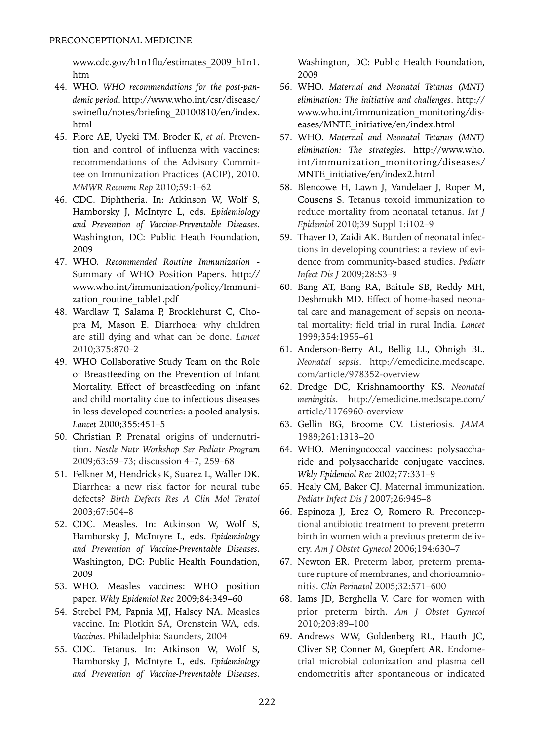www.cdc.gov/h1n1flu/estimates\_2009\_h1n1. htm

- 44. WHO. *WHO recommendations for the post-pandemic period*. http://www.who.int/csr/disease/ swineflu/notes/briefing\_20100810/en/index. html
- 45. Fiore AE, Uyeki TM, Broder K, *et al*. Prevention and control of influenza with vaccines: recommendations of the Advisory Committee on Immunization Practices (ACIP), 2010. *MMWR Recomm Rep* 2010;59:1–62
- 46. CDC. Diphtheria. In: Atkinson W, Wolf S, Hamborsky J, McIntyre L, eds. *Epidemiology and Prevention of Vaccine-Preventable Diseases*. Washington, DC: Public Heath Foundation, 2009
- 47. WHO. *Recommended Routine Immunization* Summary of WHO Position Papers. http:// www.who.int/immunization/policy/Immunization\_routine\_table1.pdf
- 48. Wardlaw T, Salama P, Brocklehurst C, Chopra M, Mason E. Diarrhoea: why children are still dying and what can be done. *Lancet* 2010;375:870–2
- 49. WHO Collaborative Study Team on the Role of Breastfeeding on the Prevention of Infant Mortality. Effect of breastfeeding on infant and child mortality due to infectious diseases in less developed countries: a pooled analysis. *Lancet* 2000;355:451–5
- 50. Christian P. Prenatal origins of undernutrition. *Nestle Nutr Workshop Ser Pediatr Program* 2009;63:59–73; discussion 4–7, 259–68
- 51. Felkner M, Hendricks K, Suarez L, Waller DK. Diarrhea: a new risk factor for neural tube defects? *Birth Defects Res A Clin Mol Teratol* 2003;67:504–8
- 52. CDC. Measles. In: Atkinson W, Wolf S, Hamborsky J, McIntyre L, eds. *Epidemiology and Prevention of Vaccine-Preventable Diseases*. Washington, DC: Public Health Foundation, 2009
- 53. WHO. Measles vaccines: WHO position paper. *Wkly Epidemiol Rec* 2009;84:349–60
- 54. Strebel PM, Papnia MJ, Halsey NA. Measles vaccine. In: Plotkin SA, Orenstein WA, eds. *Vaccines*. Philadelphia: Saunders, 2004
- 55. CDC. Tetanus. In: Atkinson W, Wolf S, Hamborsky J, McIntyre L, eds. *Epidemiology and Prevention of Vaccine-Preventable Diseases*.

Washington, DC: Public Health Foundation, 2009

- 56. WHO. *Maternal and Neonatal Tetanus (MNT) elimination: The initiative and challenges*. http:// www.who.int/immunization\_monitoring/diseases/MNTE\_initiative/en/index.html
- 57. WHO. *Maternal and Neonatal Tetanus (MNT) elimination: The strategies*. http://www.who. int/immunization\_monitoring/diseases/ MNTE\_initiative/en/index2.html
- 58. Blencowe H, Lawn J, Vandelaer J, Roper M, Cousens S. Tetanus toxoid immunization to reduce mortality from neonatal tetanus. *Int J Epidemiol* 2010;39 Suppl 1:i102–9
- 59. Thaver D, Zaidi AK. Burden of neonatal infections in developing countries: a review of evidence from community-based studies. *Pediatr Infect Dis J* 2009;28:S3–9
- 60. Bang AT, Bang RA, Baitule SB, Reddy MH, Deshmukh MD. Effect of home-based neonatal care and management of sepsis on neonatal mortality: field trial in rural India. *Lancet*  1999;354:1955–61
- 61. Anderson-Berry AL, Bellig LL, Ohnigh BL. *Neonatal sepsis*. http://emedicine.medscape. com/article/978352-overview
- 62. Dredge DC, Krishnamoorthy KS. *Neonatal meningitis*. http://emedicine.medscape.com/ article/1176960-overview
- 63. Gellin BG, Broome CV. Listeriosis*. JAMA* 1989;261:1313–20
- 64. WHO. Meningococcal vaccines: polysaccharide and polysaccharide conjugate vaccines. *Wkly Epidemiol Rec* 2002;77:331–9
- 65. Healy CM, Baker CJ. Maternal immunization. *Pediatr Infect Dis J* 2007;26:945–8
- 66. Espinoza J, Erez O, Romero R. Preconceptional antibiotic treatment to prevent preterm birth in women with a previous preterm delivery. *Am J Obstet Gynecol* 2006;194:630–7
- 67. Newton ER. Preterm labor, preterm premature rupture of membranes, and chorioamnionitis. *Clin Perinatol* 2005;32:571–600
- 68. Iams JD, Berghella V. Care for women with prior preterm birth. *Am J Obstet Gynecol*  2010;203:89–100
- 69. Andrews WW, Goldenberg RL, Hauth JC, Cliver SP, Conner M, Goepfert AR. Endometrial microbial colonization and plasma cell endometritis after spontaneous or indicated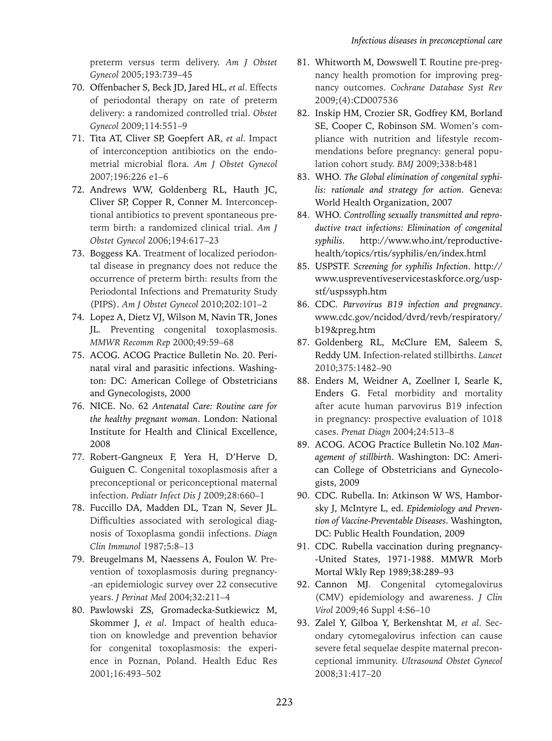preterm versus term delivery. *Am J Obstet Gynecol* 2005;193:739–45

- 70. Offenbacher S, Beck JD, Jared HL, *et al*. Effects of periodontal therapy on rate of preterm delivery: a randomized controlled trial. *Obstet Gynecol* 2009;114:551–9
- 71. Tita AT, Cliver SP, Goepfert AR, *et al*. Impact of interconception antibiotics on the endometrial microbial flora. *Am J Obstet Gynecol* 2007;196:226 e1–6
- 72. Andrews WW, Goldenberg RL, Hauth JC, Cliver SP, Copper R, Conner M. Interconceptional antibiotics to prevent spontaneous preterm birth: a randomized clinical trial. *Am J Obstet Gynecol* 2006;194:617–23
- 73. Boggess KA. Treatment of localized periodontal disease in pregnancy does not reduce the occurrence of preterm birth: results from the Periodontal Infections and Prematurity Study (PIPS). *Am J Obstet Gynecol* 2010;202:101–2
- 74. Lopez A, Dietz VJ, Wilson M, Navin TR, Jones JL. Preventing congenital toxoplasmosis. *MMWR Recomm Rep* 2000;49:59–68
- 75. ACOG. ACOG Practice Bulletin No. 20. Perinatal viral and parasitic infections. Washington: DC: American College of Obstetricians and Gynecologists, 2000
- 76. NICE. No. 62 *Antenatal Care: Routine care for the healthy pregnant woman*. London: National Institute for Health and Clinical Excellence, 2008
- 77. Robert-Gangneux F, Yera H, D'Herve D, Guiguen C. Congenital toxoplasmosis after a preconceptional or periconceptional maternal infection. *Pediatr Infect Dis J* 2009;28:660–1
- 78. Fuccillo DA, Madden DL, Tzan N, Sever JL. Difficulties associated with serological diagnosis of Toxoplasma gondii infections. *Diagn Clin Immunol* 1987;5:8–13
- 79. Breugelmans M, Naessens A, Foulon W. Prevention of toxoplasmosis during pregnancy- -an epidemiologic survey over 22 consecutive years. *J Perinat Med* 2004;32:211–4
- 80. Pawlowski ZS, Gromadecka-Sutkiewicz M, Skommer J, *et al*. Impact of health education on knowledge and prevention behavior for congenital toxoplasmosis: the experience in Poznan, Poland. Health Educ Res 2001;16:493–502
- 81. Whitworth M, Dowswell T. Routine pre-pregnancy health promotion for improving pregnancy outcomes. *Cochrane Database Syst Rev* 2009;(4):CD007536
- 82. Inskip HM, Crozier SR, Godfrey KM, Borland SE, Cooper C, Robinson SM. Women's compliance with nutrition and lifestyle recommendations before pregnancy: general population cohort study. *BMJ* 2009;338:b481
- 83. WHO. *The Global elimination of congenital syphilis: rationale and strategy for action*. Geneva: World Health Organization, 2007
- 84. WHO. *Controlling sexually transmitted and reproductive tract infections: Elimination of congenital syphilis*. http://www.who.int/reproductivehealth/topics/rtis/syphilis/en/index.html
- 85. USPSTF. *Screening for syphilis Infection*. http:// www.uspreventiveservicestaskforce.org/uspstf/uspssyph.htm
- 86. CDC. *Parvovirus B19 infection and pregnancy*. www.cdc.gov/ncidod/dvrd/revb/respiratory/ b19&preg.htm
- 87. Goldenberg RL, McClure EM, Saleem S, Reddy UM. Infection-related stillbirths. *Lancet* 2010;375:1482–90
- 88. Enders M, Weidner A, Zoellner I, Searle K, Enders G. Fetal morbidity and mortality after acute human parvovirus B19 infection in pregnancy: prospective evaluation of 1018 cases. *Prenat Diagn* 2004;24:513–8
- 89. ACOG. ACOG Practice Bulletin No.102 *Management of stillbirth*. Washington: DC: American College of Obstetricians and Gynecologists, 2009
- 90. CDC. Rubella. In: Atkinson W WS, Hamborsky J, McIntyre L, ed. *Epidemiology and Prevention of Vaccine-Preventable Diseases*. Washington, DC: Public Health Foundation, 2009
- 91. CDC. Rubella vaccination during pregnancy- -United States, 1971-1988. MMWR Morb Mortal Wkly Rep 1989;38:289–93
- 92. Cannon MJ. Congenital cytomegalovirus (CMV) epidemiology and awareness. *J Clin Virol* 2009;46 Suppl 4:S6–10
- 93. Zalel Y, Gilboa Y, Berkenshtat M, *et al*. Secondary cytomegalovirus infection can cause severe fetal sequelae despite maternal preconceptional immunity. *Ultrasound Obstet Gynecol* 2008;31:417–20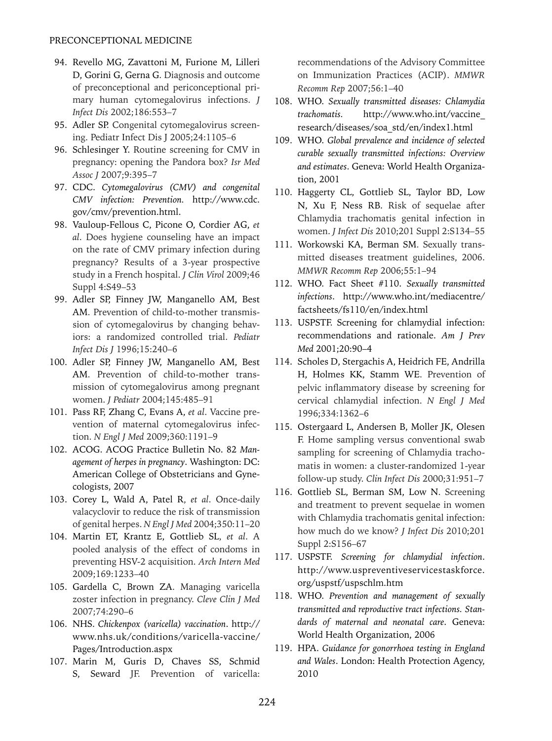- 94. Revello MG, Zavattoni M, Furione M, Lilleri D, Gorini G, Gerna G. Diagnosis and outcome of preconceptional and periconceptional primary human cytomegalovirus infections. *J Infect Dis* 2002;186:553–7
- 95. Adler SP. Congenital cytomegalovirus screening. Pediatr Infect Dis J 2005;24:1105–6
- 96. Schlesinger Y. Routine screening for CMV in pregnancy: opening the Pandora box? *Isr Med Assoc J* 2007;9:395–7
- 97. CDC. *Cytomegalovirus (CMV) and congenital CMV infection: Prevention.* http://www.cdc. gov/cmv/prevention.html.
- 98. Vauloup-Fellous C, Picone O, Cordier AG, *et al*. Does hygiene counseling have an impact on the rate of CMV primary infection during pregnancy? Results of a 3-year prospective study in a French hospital. *J Clin Virol* 2009;46 Suppl 4:S49–53
- 99. Adler SP, Finney JW, Manganello AM, Best AM. Prevention of child-to-mother transmission of cytomegalovirus by changing behaviors: a randomized controlled trial. *Pediatr Infect Dis J* 1996;15:240–6
- 100. Adler SP, Finney JW, Manganello AM, Best AM. Prevention of child-to-mother transmission of cytomegalovirus among pregnant women. *J Pediatr* 2004;145:485–91
- 101. Pass RF, Zhang C, Evans A, *et al*. Vaccine prevention of maternal cytomegalovirus infection. *N Engl J Med* 2009;360:1191–9
- 102. ACOG. ACOG Practice Bulletin No. 82 *Management of herpes in pregnancy*. Washington: DC: American College of Obstetricians and Gynecologists, 2007
- 103. Corey L, Wald A, Patel R, *et al*. Once-daily valacyclovir to reduce the risk of transmission of genital herpes. *N Engl J Med* 2004;350:11–20
- 104. Martin ET, Krantz E, Gottlieb SL, *et al*. A pooled analysis of the effect of condoms in preventing HSV-2 acquisition. *Arch Intern Med* 2009;169:1233–40
- 105. Gardella C, Brown ZA. Managing varicella zoster infection in pregnancy. *Cleve Clin J Med*  2007;74:290–6
- 106. NHS. *Chickenpox (varicella) vaccination*. http:// www.nhs.uk/conditions/varicella-vaccine/ Pages/Introduction.aspx
- 107. Marin M, Guris D, Chaves SS, Schmid S, Seward JF. Prevention of varicella:

recommendations of the Advisory Committee on Immunization Practices (ACIP). *MMWR Recomm Rep* 2007;56:1–40

- 108. WHO. *Sexually transmitted diseases: Chlamydia trachomatis.* http://www.who.int/vaccine\_ research/diseases/soa\_std/en/index1.html
- 109. WHO. *Global prevalence and incidence of selected curable sexually transmitted infections: Overview and estimates*. Geneva: World Health Organization, 2001
- 110. Haggerty CL, Gottlieb SL, Taylor BD, Low N, Xu F, Ness RB. Risk of sequelae after Chlamydia trachomatis genital infection in women. *J Infect Dis* 2010;201 Suppl 2:S134–55
- 111. Workowski KA, Berman SM. Sexually transmitted diseases treatment guidelines, 2006. *MMWR Recomm Rep* 2006;55:1–94
- 112. WHO. Fact Sheet #110. *Sexually transmitted infections*. http://www.who.int/mediacentre/ factsheets/fs110/en/index.html
- 113. USPSTF. Screening for chlamydial infection: recommendations and rationale. *Am J Prev Med* 2001;20:90–4
- 114. Scholes D, Stergachis A, Heidrich FE, Andrilla H, Holmes KK, Stamm WE. Prevention of pelvic inflammatory disease by screening for cervical chlamydial infection. *N Engl J Med* 1996;334:1362–6
- 115. Ostergaard L, Andersen B, Moller JK, Olesen F. Home sampling versus conventional swab sampling for screening of Chlamydia trachomatis in women: a cluster-randomized 1-year follow-up study. *Clin Infect Dis* 2000;31:951–7
- 116. Gottlieb SL, Berman SM, Low N. Screening and treatment to prevent sequelae in women with Chlamydia trachomatis genital infection: how much do we know? *J Infect Dis* 2010;201 Suppl 2:S156–67
- 117. USPSTF. *Screening for chlamydial infection*. http://www.uspreventiveservicestaskforce. org/uspstf/uspschlm.htm
- 118. WHO. *Prevention and management of sexually transmitted and reproductive tract infections. Standards of maternal and neonatal care*. Geneva: World Health Organization, 2006
- 119. HPA. *Guidance for gonorrhoea testing in England and Wales*. London: Health Protection Agency, 2010